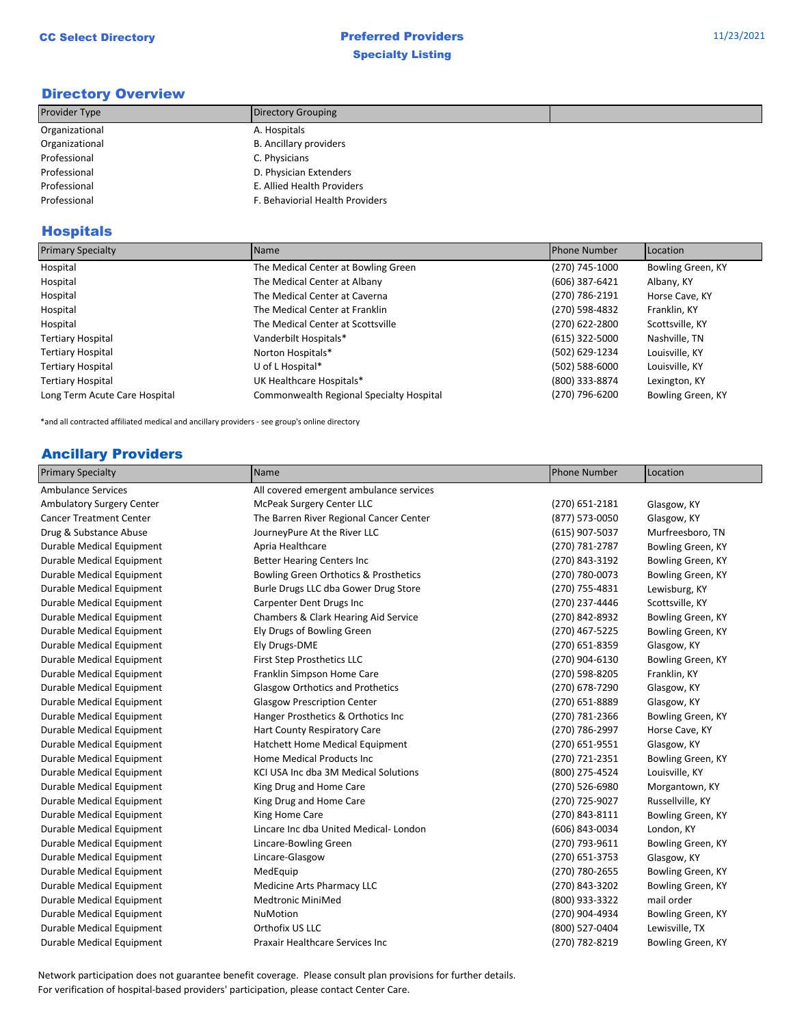# Directory Overview

| Provider Type  | Directory Grouping              |  |
|----------------|---------------------------------|--|
| Organizational | A. Hospitals                    |  |
| Organizational | <b>B.</b> Ancillary providers   |  |
| Professional   | C. Physicians                   |  |
| Professional   | D. Physician Extenders          |  |
| Professional   | E. Allied Health Providers      |  |
| Professional   | F. Behaviorial Health Providers |  |

# Hospitals

| <b>Primary Specialty</b>      | Name                                     | <b>Phone Number</b> | Location          |
|-------------------------------|------------------------------------------|---------------------|-------------------|
| Hospital                      | The Medical Center at Bowling Green      | (270) 745-1000      | Bowling Green, KY |
| Hospital                      | The Medical Center at Albany             | (606) 387-6421      | Albany, KY        |
| Hospital                      | The Medical Center at Caverna            | (270) 786-2191      | Horse Cave, KY    |
| Hospital                      | The Medical Center at Franklin           | (270) 598-4832      | Franklin, KY      |
| Hospital                      | The Medical Center at Scottsville        | (270) 622-2800      | Scottsville, KY   |
| <b>Tertiary Hospital</b>      | Vanderbilt Hospitals*                    | (615) 322-5000      | Nashville, TN     |
| <b>Tertiary Hospital</b>      | Norton Hospitals*                        | (502) 629-1234      | Louisville, KY    |
| <b>Tertiary Hospital</b>      | U of L Hospital*                         | (502) 588-6000      | Louisville, KY    |
| <b>Tertiary Hospital</b>      | UK Healthcare Hospitals*                 | (800) 333-8874      | Lexington, KY     |
| Long Term Acute Care Hospital | Commonwealth Regional Specialty Hospital | (270) 796-6200      | Bowling Green, KY |

\*and all contracted affiliated medical and ancillary providers - see group's online directory

### Ancillary Providers

| <b>Primary Specialty</b>         | Name                                    | <b>Phone Number</b> | Location          |
|----------------------------------|-----------------------------------------|---------------------|-------------------|
| <b>Ambulance Services</b>        | All covered emergent ambulance services |                     |                   |
| <b>Ambulatory Surgery Center</b> | McPeak Surgery Center LLC               | $(270)$ 651-2181    | Glasgow, KY       |
| <b>Cancer Treatment Center</b>   | The Barren River Regional Cancer Center | (877) 573-0050      | Glasgow, KY       |
| Drug & Substance Abuse           | JourneyPure At the River LLC            | (615) 907-5037      | Murfreesboro, TN  |
| Durable Medical Equipment        | Apria Healthcare                        | (270) 781-2787      | Bowling Green, KY |
| Durable Medical Equipment        | <b>Better Hearing Centers Inc</b>       | (270) 843-3192      | Bowling Green, KY |
| Durable Medical Equipment        | Bowling Green Orthotics & Prosthetics   | (270) 780-0073      | Bowling Green, KY |
| Durable Medical Equipment        | Burle Drugs LLC dba Gower Drug Store    | (270) 755-4831      | Lewisburg, KY     |
| Durable Medical Equipment        | Carpenter Dent Drugs Inc                | (270) 237-4446      | Scottsville, KY   |
| Durable Medical Equipment        | Chambers & Clark Hearing Aid Service    | (270) 842-8932      | Bowling Green, KY |
| Durable Medical Equipment        | Ely Drugs of Bowling Green              | (270) 467-5225      | Bowling Green, KY |
| Durable Medical Equipment        | Ely Drugs-DME                           | (270) 651-8359      | Glasgow, KY       |
| Durable Medical Equipment        | First Step Prosthetics LLC              | (270) 904-6130      | Bowling Green, KY |
| Durable Medical Equipment        | Franklin Simpson Home Care              | (270) 598-8205      | Franklin, KY      |
| Durable Medical Equipment        | <b>Glasgow Orthotics and Prothetics</b> | (270) 678-7290      | Glasgow, KY       |
| Durable Medical Equipment        | <b>Glasgow Prescription Center</b>      | (270) 651-8889      | Glasgow, KY       |
| Durable Medical Equipment        | Hanger Prosthetics & Orthotics Inc      | (270) 781-2366      | Bowling Green, KY |
| Durable Medical Equipment        | Hart County Respiratory Care            | (270) 786-2997      | Horse Cave, KY    |
| Durable Medical Equipment        | Hatchett Home Medical Equipment         | (270) 651-9551      | Glasgow, KY       |
| Durable Medical Equipment        | Home Medical Products Inc               | (270) 721-2351      | Bowling Green, KY |
| Durable Medical Equipment        | KCI USA Inc dba 3M Medical Solutions    | (800) 275-4524      | Louisville, KY    |
| Durable Medical Equipment        | King Drug and Home Care                 | (270) 526-6980      | Morgantown, KY    |
| Durable Medical Equipment        | King Drug and Home Care                 | (270) 725-9027      | Russellville, KY  |
| Durable Medical Equipment        | King Home Care                          | (270) 843-8111      | Bowling Green, KY |
| Durable Medical Equipment        | Lincare Inc dba United Medical-London   | (606) 843-0034      | London, KY        |
| Durable Medical Equipment        | Lincare-Bowling Green                   | (270) 793-9611      | Bowling Green, KY |
| Durable Medical Equipment        | Lincare-Glasgow                         | (270) 651-3753      | Glasgow, KY       |
| Durable Medical Equipment        | MedEquip                                | (270) 780-2655      | Bowling Green, KY |
| Durable Medical Equipment        | Medicine Arts Pharmacy LLC              | (270) 843-3202      | Bowling Green, KY |
| Durable Medical Equipment        | <b>Medtronic MiniMed</b>                | (800) 933-3322      | mail order        |
| Durable Medical Equipment        | NuMotion                                | (270) 904-4934      | Bowling Green, KY |
| Durable Medical Equipment        | Orthofix US LLC                         | (800) 527-0404      | Lewisville, TX    |
| Durable Medical Equipment        | <b>Praxair Healthcare Services Inc.</b> | (270) 782-8219      | Bowling Green, KY |

Network participation does not guarantee benefit coverage. Please consult plan provisions for further details. For verification of hospital-based providers' participation, please contact Center Care.